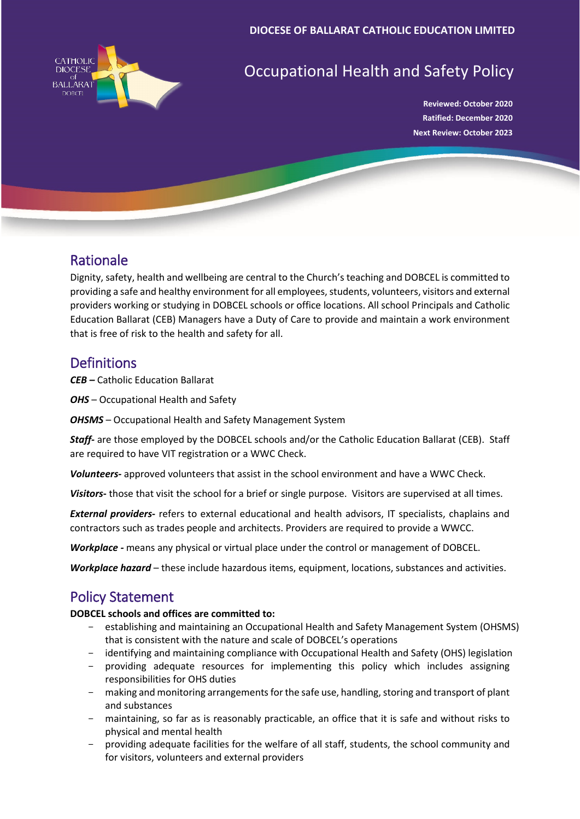

# Occupational Health and Safety Policy

**Reviewed: October 2020 Ratified: December 2020 Next Review: October 2023**

## Rationale

Dignity, safety, health and wellbeing are central to the Church's teaching and DOBCEL is committed to providing a safe and healthy environment for all employees, students, volunteers, visitors and external providers working or studying in DOBCEL schools or office locations. All school Principals and Catholic Education Ballarat (CEB) Managers have a Duty of Care to provide and maintain a work environment that is free of risk to the health and safety for all.

### **Definitions**

*CEB –* Catholic Education Ballarat

*OHS* – Occupational Health and Safety

*OHSMS* – Occupational Health and Safety Management System

*Staff***-** are those employed by the DOBCEL schools and/or the Catholic Education Ballarat (CEB). Staff are required to have VIT registration or a WWC Check.

*Volunteers-* approved volunteers that assist in the school environment and have a WWC Check.

*Visitors***-** those that visit the school for a brief or single purpose. Visitors are supervised at all times.

*External providers***-** refers to external educational and health advisors, IT specialists, chaplains and contractors such as trades people and architects. Providers are required to provide a WWCC.

*Workplace -* means any physical or virtual place under the control or management of DOBCEL.

*Workplace hazard* – these include hazardous items, equipment, locations, substances and activities.

## Policy Statement

#### **DOBCEL schools and offices are committed to:**

- establishing and maintaining an Occupational Health and Safety Management System (OHSMS) that is consistent with the nature and scale of DOBCEL's operations
- identifying and maintaining compliance with Occupational Health and Safety (OHS) legislation
- providing adequate resources for implementing this policy which includes assigning responsibilities for OHS duties
- making and monitoring arrangements for the safe use, handling, storing and transport of plant and substances
- maintaining, so far as is reasonably practicable, an office that it is safe and without risks to physical and mental health
- providing adequate facilities for the welfare of all staff, students, the school community and for visitors, volunteers and external providers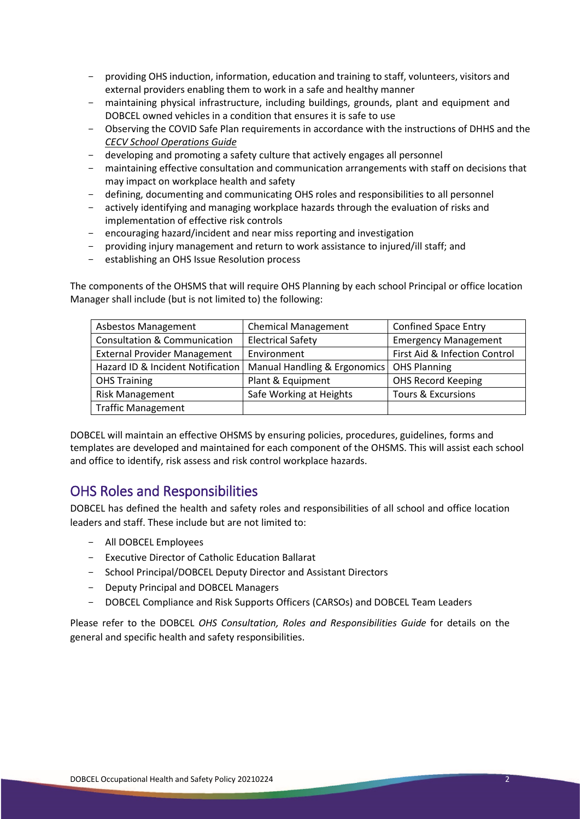- providing OHS induction, information, education and training to staff, volunteers, visitors and external providers enabling them to work in a safe and healthy manner
- maintaining physical infrastructure, including buildings, grounds, plant and equipment and DOBCEL owned vehicles in a condition that ensures it is safe to use
- Observing the COVID Safe Plan requirements in accordance with the instructions of DHHS and the *CECV School Operations Guide*
- developing and promoting a safety culture that actively engages all personnel<br>- maintaining effective consultation and communication arrangements with sta
- maintaining effective consultation and communication arrangements with staff on decisions that may impact on workplace health and safety
- defining, documenting and communicating OHS roles and responsibilities to all personnel
- actively identifying and managing workplace hazards through the evaluation of risks and implementation of effective risk controls
- encouraging hazard/incident and near miss reporting and investigation
- providing injury management and return to work assistance to injured/ill staff; and
- establishing an OHS Issue Resolution process

The components of the OHSMS that will require OHS Planning by each school Principal or office location Manager shall include (but is not limited to) the following:

| <b>Asbestos Management</b>              | <b>Chemical Management</b>   | <b>Confined Space Entry</b>   |
|-----------------------------------------|------------------------------|-------------------------------|
| <b>Consultation &amp; Communication</b> | <b>Electrical Safety</b>     | <b>Emergency Management</b>   |
| <b>External Provider Management</b>     | Environment                  | First Aid & Infection Control |
| Hazard ID & Incident Notification       | Manual Handling & Ergonomics | <b>OHS Planning</b>           |
| <b>OHS Training</b>                     | Plant & Equipment            | <b>OHS Record Keeping</b>     |
| <b>Risk Management</b>                  | Safe Working at Heights      | <b>Tours &amp; Excursions</b> |
| <b>Traffic Management</b>               |                              |                               |

DOBCEL will maintain an effective OHSMS by ensuring policies, procedures, guidelines, forms and templates are developed and maintained for each component of the OHSMS. This will assist each school and office to identify, risk assess and risk control workplace hazards.

### OHS Roles and Responsibilities

DOBCEL has defined the health and safety roles and responsibilities of all school and office location leaders and staff. These include but are not limited to:

- All DOBCEL Employees
- Executive Director of Catholic Education Ballarat
- School Principal/DOBCEL Deputy Director and Assistant Directors
- Deputy Principal and DOBCEL Managers
- DOBCEL Compliance and Risk Supports Officers (CARSOs) and DOBCEL Team Leaders

Please refer to the DOBCEL *OHS Consultation, Roles and Responsibilities Guide* for details on the general and specific health and safety responsibilities.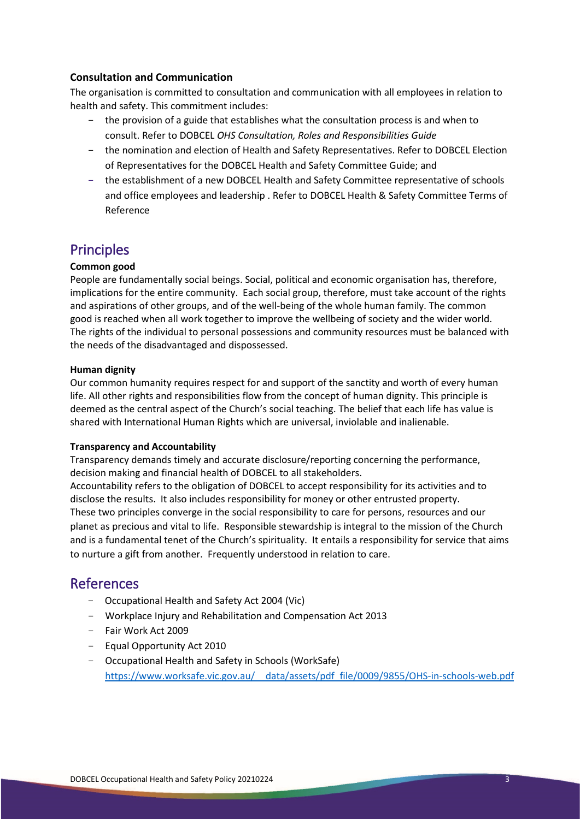#### **Consultation and Communication**

The organisation is committed to consultation and communication with all employees in relation to health and safety. This commitment includes:

- the provision of a guide that establishes what the consultation process is and when to consult. Refer to DOBCEL *OHS Consultation, Roles and Responsibilities Guide*
- the nomination and election of Health and Safety Representatives. Refer to DOBCEL Election of Representatives for the DOBCEL Health and Safety Committee Guide; and
- the establishment of a new DOBCEL Health and Safety Committee representative of schools and office employees and leadership . Refer to DOBCEL Health & Safety Committee Terms of Reference

### **Principles**

#### **Common good**

People are fundamentally social beings. Social, political and economic organisation has, therefore, implications for the entire community. Each social group, therefore, must take account of the rights and aspirations of other groups, and of the well-being of the whole human family. The common good is reached when all work together to improve the wellbeing of society and the wider world. The rights of the individual to personal possessions and community resources must be balanced with the needs of the disadvantaged and dispossessed.

#### **Human dignity**

Our common humanity requires respect for and support of the sanctity and worth of every human life. All other rights and responsibilities flow from the concept of human dignity. This principle is deemed as the central aspect of the Church's social teaching. The belief that each life has value is shared with International Human Rights which are universal, inviolable and inalienable.

#### **Transparency and Accountability**

Transparency demands timely and accurate disclosure/reporting concerning the performance, decision making and financial health of DOBCEL to all stakeholders.

Accountability refers to the obligation of DOBCEL to accept responsibility for its activities and to disclose the results. It also includes responsibility for money or other entrusted property. These two principles converge in the social responsibility to care for persons, resources and our planet as precious and vital to life. Responsible stewardship is integral to the mission of the Church and is a fundamental tenet of the Church's spirituality. It entails a responsibility for service that aims to nurture a gift from another. Frequently understood in relation to care.

#### References

- Occupational Health and Safety Act 2004 (Vic)
- Workplace Injury and Rehabilitation and Compensation Act 2013
- Fair Work Act 2009
- Equal Opportunity Act 2010
- Occupational Health and Safety in Schools (WorkSafe) [https://www.worksafe.vic.gov.au/\\_\\_data/assets/pdf\\_file/0009/9855/OHS-in-schools-web.pdf](https://www.worksafe.vic.gov.au/__data/assets/pdf_file/0009/9855/OHS-in-schools-web.pdf)